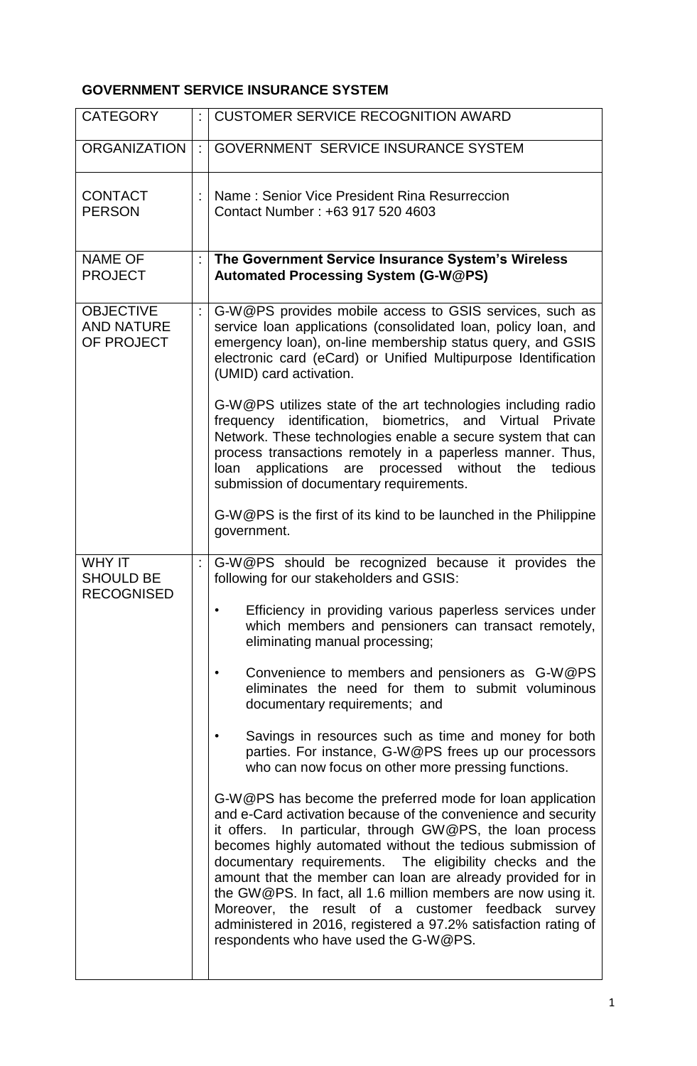## **GOVERNMENT SERVICE INSURANCE SYSTEM**

| <b>CATEGORY</b>                                        |    | <b>CUSTOMER SERVICE RECOGNITION AWARD</b>                                                                                                                                                                                                                                                                                                                                                                                                                                                                                                                                                                           |
|--------------------------------------------------------|----|---------------------------------------------------------------------------------------------------------------------------------------------------------------------------------------------------------------------------------------------------------------------------------------------------------------------------------------------------------------------------------------------------------------------------------------------------------------------------------------------------------------------------------------------------------------------------------------------------------------------|
| <b>ORGANIZATION</b>                                    | ÷  | <b>GOVERNMENT SERVICE INSURANCE SYSTEM</b>                                                                                                                                                                                                                                                                                                                                                                                                                                                                                                                                                                          |
| <b>CONTACT</b><br><b>PERSON</b>                        |    | Name: Senior Vice President Rina Resurreccion<br>Contact Number: +63 917 520 4603                                                                                                                                                                                                                                                                                                                                                                                                                                                                                                                                   |
| <b>NAME OF</b><br><b>PROJECT</b>                       | ÷. | The Government Service Insurance System's Wireless<br><b>Automated Processing System (G-W@PS)</b>                                                                                                                                                                                                                                                                                                                                                                                                                                                                                                                   |
| <b>OBJECTIVE</b><br><b>AND NATURE</b><br>OF PROJECT    |    | G-W@PS provides mobile access to GSIS services, such as<br>service loan applications (consolidated loan, policy loan, and<br>emergency loan), on-line membership status query, and GSIS<br>electronic card (eCard) or Unified Multipurpose Identification<br>(UMID) card activation.                                                                                                                                                                                                                                                                                                                                |
|                                                        |    | G-W@PS utilizes state of the art technologies including radio<br>frequency identification, biometrics, and Virtual<br>Private<br>Network. These technologies enable a secure system that can<br>process transactions remotely in a paperless manner. Thus,<br>applications are processed without the<br>tedious<br>loan<br>submission of documentary requirements.                                                                                                                                                                                                                                                  |
|                                                        |    | G-W@PS is the first of its kind to be launched in the Philippine<br>government.                                                                                                                                                                                                                                                                                                                                                                                                                                                                                                                                     |
| <b>WHY IT</b><br><b>SHOULD BE</b><br><b>RECOGNISED</b> |    | G-W@PS should be recognized because it provides the<br>following for our stakeholders and GSIS:                                                                                                                                                                                                                                                                                                                                                                                                                                                                                                                     |
|                                                        |    | Efficiency in providing various paperless services under<br>which members and pensioners can transact remotely,<br>eliminating manual processing;                                                                                                                                                                                                                                                                                                                                                                                                                                                                   |
|                                                        |    | Convenience to members and pensioners as G-W@PS<br>eliminates the need for them to submit voluminous<br>documentary requirements; and                                                                                                                                                                                                                                                                                                                                                                                                                                                                               |
|                                                        |    | Savings in resources such as time and money for both<br>parties. For instance, G-W@PS frees up our processors<br>who can now focus on other more pressing functions.                                                                                                                                                                                                                                                                                                                                                                                                                                                |
|                                                        |    | G-W@PS has become the preferred mode for loan application<br>and e-Card activation because of the convenience and security<br>it offers. In particular, through GW@PS, the loan process<br>becomes highly automated without the tedious submission of<br>documentary requirements. The eligibility checks and the<br>amount that the member can loan are already provided for in<br>the GW@PS. In fact, all 1.6 million members are now using it.<br>Moreover, the result of a customer feedback survey<br>administered in 2016, registered a 97.2% satisfaction rating of<br>respondents who have used the G-W@PS. |